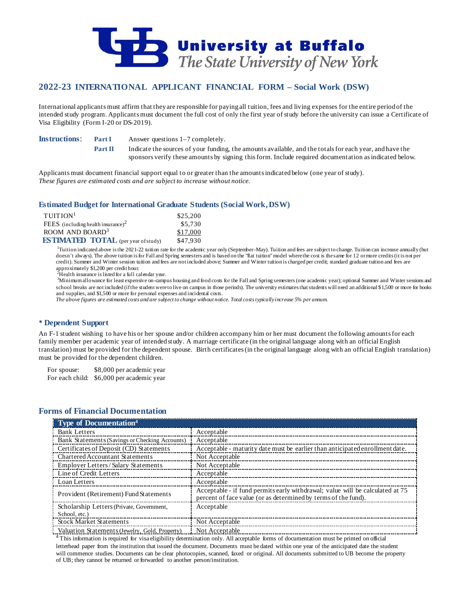

# **2022-23 INTERNATIONAL APPLICANT FINANCIAL FORM – Social Work (DSW)**

International applicants must affirm that they are responsible for paying all tuition, fees and living expenses for the entire period of the intended study program. Applicants must document the full cost of only the first year of study before the university can issue a Certificate of Visa Eligibility (Form I-20 or DS-2019).

**Instructions: Part I** Answer questions 1–7 completely.

**Part II** Indicate the sources of your funding, the amounts available, and the totals for each year, and have the sponsors verify these amounts by signing this form. Include required documentation as indicated below.

Applicants must document financial support equal to or greater than the amounts indicated below (one year of study). *These figures are estimated costs and are subject to increase without notice.*

### **Estimated Budget for International Graduate Students (Social Work, DSW)**

| $T$ UITION <sup>1</sup>                    | \$25,200 |
|--------------------------------------------|----------|
| FEES (including health insurance) $2$      | \$5,730  |
| ROOM AND BOARD <sup>3</sup>                | \$17,000 |
| <b>ESTIMATED TOTAL</b> (per year of study) | \$47.930 |

<sup>1</sup>Tuition indicated above is the 2021-22 tuition rate for the academic year only (September–May). Tuition and fees are subject to change. Tuition can increase annually (but doesn't always). The above tuition is for Fall and Spring semesters and is based on the "flat tuition" model where the cost is the same for 12 or more credits (it is not per credit). Summer and Winter session tuition and fees are not included above; Summer and Winter tuition is charged per credit; standard graduate tuition and fees are approximately \$1,200 per credit hour. <sup>2</sup>

 ${}^{2}$ Health insurance is listed for a full calendar year.

<sup>3</sup>Minimum allowance for least expensive on-campus housing and food costs for the Fall and Spring semesters (one academic year); optional Summer and Winter sessions and school breaks are not included (if the student were to live on campus in those periods). The university estimates that students will need an additional \$1,500 or more for books and supplies, and \$1,500 or more for personal expenses and incidental costs.

*The above figures are estimated costs and are subject to change without notice. Total costs typically increase 5% per annum.*

### **Dependent Support**

An F-1 student wishing to have his or her spouse and/or children accompany him or her must document the following amounts for each family member per academic year of intended study. A marriage certificate (in the original language along with an official English translation) must be provided for the dependent spouse. Birth certificates (in the original language along with an official English translation) must be provided for the dependent children.

For spouse: \$8,000 per academic year For each child: \$6,000 per academic year

## **Forms of Financial Documentation**

| <b>Type of Documentation4</b>                  |                                                                                                                                                 |
|------------------------------------------------|-------------------------------------------------------------------------------------------------------------------------------------------------|
| <b>Bank Letters</b>                            | Acceptable                                                                                                                                      |
| Bank Statements (Savings or Checking Accounts) | Acceptable                                                                                                                                      |
| Certificates of Deposit (CD) Statements        | Acceptable - maturity date must be earlier than anticipated enrollment date.                                                                    |
| Chartered Accountant Statements                | Not Acceptable                                                                                                                                  |
| Employer Letters/Salary Statements             | Not Acceptable                                                                                                                                  |
| Line of Credit Letters                         | Acceptable                                                                                                                                      |
| Loan Letters                                   | Acceptable                                                                                                                                      |
| Provident (Retirement) Fund Statements         | Acceptable - if fund permits early withdrawal; value will be calculated at 75<br>percent of face value (or as determined by terms of the fund). |
| Scholarship Letters (Private, Government,      | Acceptable                                                                                                                                      |
| School, etc.)                                  |                                                                                                                                                 |
| <b>Stock Market Statements</b>                 | Not Acceptable                                                                                                                                  |
| Valuation Statements (Jewelry, Gold, Property) | Not Acceptable                                                                                                                                  |

 $4$  This information is required for visa eligibility determination only. All acceptable forms of documentation must be printed on official letterhead paper from the institution that issued the document. Documents must be dated within one year of the anticipated date the student will commence studies. Documents can be clear photocopies, scanned, faxed or original. All documents submitted to UB become the property of UB; they cannot be returned or forwarded to another person/institution.